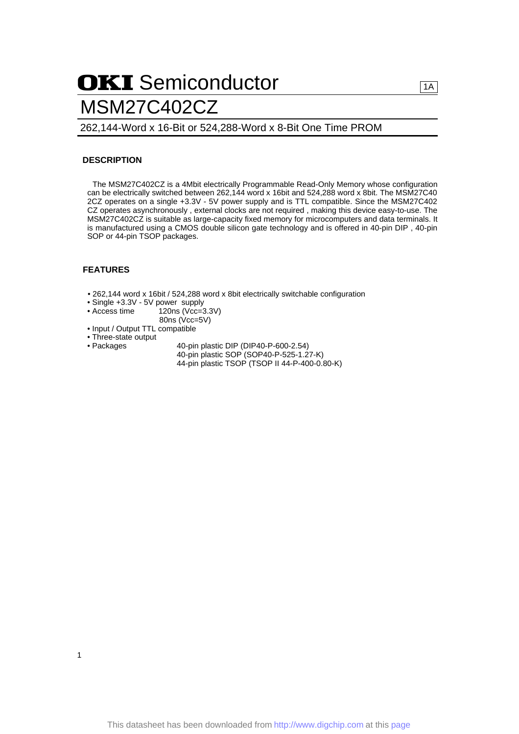# OKI Semiconductor MSM27C402CZ

### 262,144-Word x 16-Bit or 524,288-Word x 8-Bit One Time PROM

### **DESCRIPTION**

The MSM27C402CZ is a 4Mbit electrically Programmable Read-Only Memory whose configuration can be electrically switched between 262,144 word x 16bit and 524,288 word x 8bit. The MSM27C40 2CZ operates on a single +3.3V - 5V power supply and is TTL compatible. Since the MSM27C402 CZ operates asynchronously , external clocks are not required , making this device easy-to-use. The MSM27C402CZ is suitable as large-capacity fixed memory for microcomputers and data terminals. It is manufactured using a CMOS double silicon gate technology and is offered in 40-pin DIP , 40-pin SOP or 44-pin TSOP packages.

### **FEATURES**

- 262,144 word x 16bit / 524,288 word x 8bit electrically switchable configuration
- Single +3.3V 5V power supply<br>• Access time 120ns (Vcc=3)
	- $120ns$  (Vcc=3.3V)
	- 80ns (Vcc=5V)
- Input / Output TTL compatible
- Three-state output
- 

1

- Packages 40-pin plastic DIP (DIP40-P-600-2.54)
	- 40-pin plastic SOP (SOP40-P-525-1.27-K) 44-pin plastic TSOP (TSOP II 44-P-400-0.80-K)

 $1A$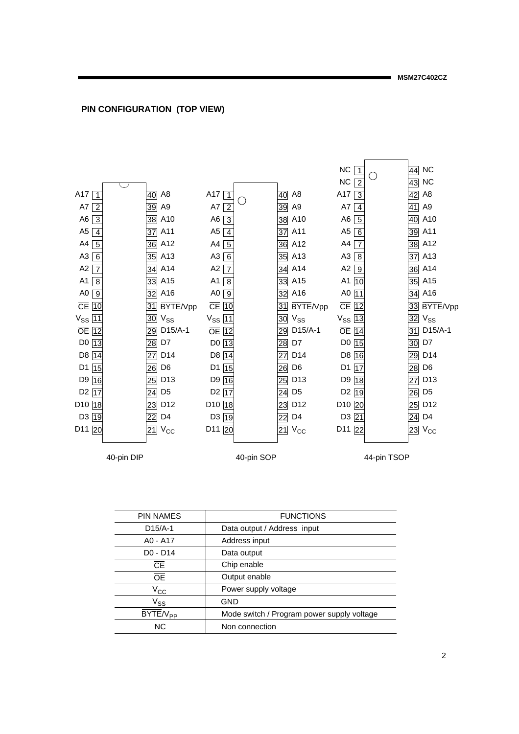### **PIN CONFIGURATION (TOP VIEW)**



PIN NAMES FUNCTIONS D15/A-1 Data output / Address input A0 - A17 Address input D0 - D14 Data output **CE** OE Output enable  $V_{\text{CC}}$  Power supply voltage  $\overline{BYTE}/V_{PP}$  Mode switch / Program power supply voltage NC Non connection Chip enable  $V_{SS}$  GND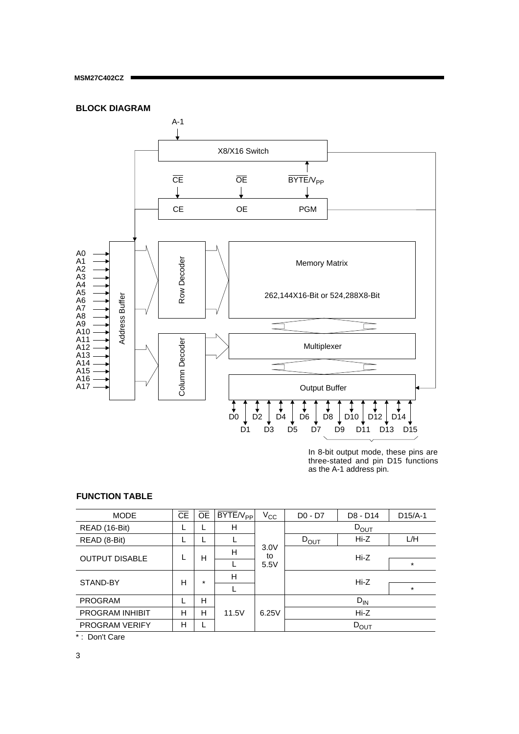

In 8-bit output mode, these pins are three-stated and pin D15 functions as the A-1 address pin.

## **FUNCTION TABLE**

| <b>MODE</b>                 | <b>CE</b> | <b>OE</b> | $BYTE/V_{PP}$ | $V_{\rm CC}$ | $D0 - D7$        | D8 - D14         | $D15/A-1$ |  |
|-----------------------------|-----------|-----------|---------------|--------------|------------------|------------------|-----------|--|
| READ (16-Bit)               |           | L         | Н             |              |                  | $D_{\text{OUT}}$ |           |  |
| READ (8-Bit)                |           |           |               |              | $D_{\text{OUT}}$ | Hi-Z             | L/H       |  |
| <b>OUTPUT DISABLE</b>       |           | Н         | H             | 3.0V<br>to   |                  | Hi-Z             |           |  |
|                             |           |           |               | 5.5V         |                  |                  | $\star$   |  |
| STAND-BY                    | н         | $\star$   | H             |              |                  | Hi-Z             |           |  |
|                             |           |           |               |              |                  |                  | $\star$   |  |
| <b>PROGRAM</b>              |           | н         |               |              |                  | $D_{IN}$         |           |  |
| <b>PROGRAM INHIBIT</b>      | н         | н         | 11.5V         | 6.25V        |                  | Hi-Z             |           |  |
| <b>PROGRAM VERIFY</b>       | H         | ┗         |               |              | $D_{\text{OUT}}$ |                  |           |  |
| $\sim$ $\sim$ $\sim$ $\sim$ |           |           |               |              |                  |                  |           |  |

\* : Don't Care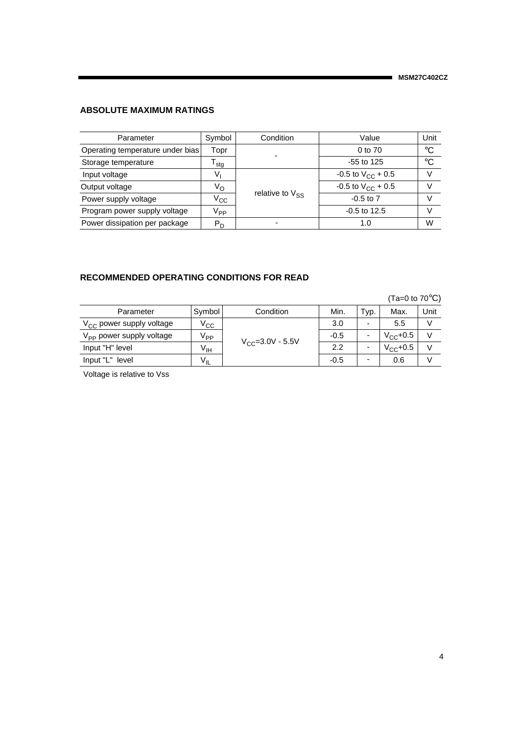# **ABSOLUTE MAXIMUM RATINGS**

| Parameter                        | Symbol                      | Condition            | Value                    | Unit        |
|----------------------------------|-----------------------------|----------------------|--------------------------|-------------|
| Operating temperature under bias | Topr                        |                      | 0 to 70                  | $^{\circ}C$ |
| Storage temperature              | $\mathsf{F}_{\mathsf{std}}$ |                      | $-55$ to 125             | $^{\circ}C$ |
| Input voltage                    | V,                          |                      | -0.5 to $V_{CC}$ + 0.5   |             |
| Output voltage                   | $V_{\rm O}$                 |                      | $-0.5$ to $V_{CC}$ + 0.5 |             |
| Power supply voltage             | $V_{\rm CC}$                | relative to $V_{SS}$ | $-0.5$ to $7$            |             |
| Program power supply voltage     | V <sub>PP</sub>             |                      | $-0.5$ to 12.5           |             |
| Power dissipation per package    | $P_D$                       |                      | 1.0                      | W           |

### **RECOMMENDED OPERATING CONDITIONS FOR READ**

|                                      |                 |                        |        |                          | (Ta=0 to $70^{\circ}$ C) |        |
|--------------------------------------|-----------------|------------------------|--------|--------------------------|--------------------------|--------|
| Parameter                            | Symbol          | Condition              | Min.   | Typ.                     | Max.                     | Unit   |
| $V_{CC}$ power supply voltage        | $\rm V_{CC}$    | $V_{CC} = 3.0V - 5.5V$ | 3.0    | $\overline{\phantom{0}}$ | 5.5                      | $\vee$ |
| V <sub>PP</sub> power supply voltage | V <sub>PP</sub> |                        | $-0.5$ |                          | $V_{CC}$ +0.5            | $\vee$ |
| Input "H" level                      | V <sub>IH</sub> |                        | 2.2    | -                        | $V_{CC}$ +0.5            | $\vee$ |
| Input "L" level                      | $V_{IL}$        |                        | $-0.5$ | -                        | 0.6                      |        |

Voltage is relative to Vss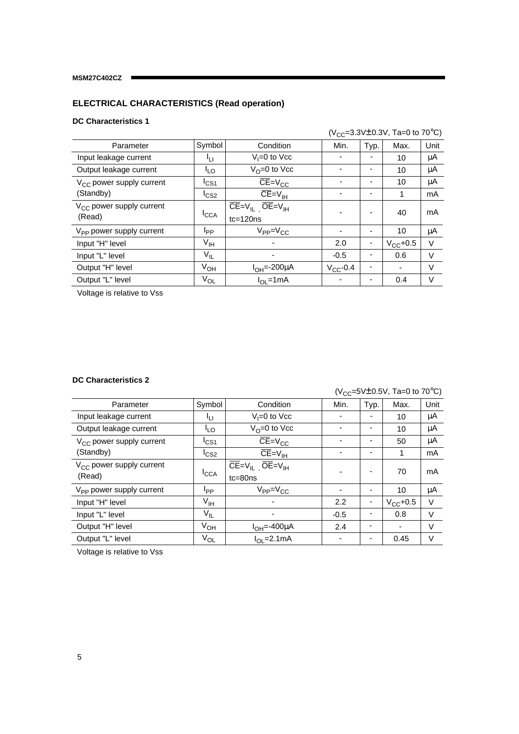# **ELECTRICAL CHARACTERISTICS (Read operation)**

## **DC Characteristics 1**

|                                      |                  |                               | ( $V_{CC}$ =3.3V $\pm$ 0.3V, Ta=0 to 70°C) |      |               |        |  |
|--------------------------------------|------------------|-------------------------------|--------------------------------------------|------|---------------|--------|--|
| Parameter                            | Symbol           | Condition                     | Min.                                       | Typ. | Max.          | Unit   |  |
| Input leakage current                | 41 I             | $V_i = 0$ to $V_{\text{CC}}$  |                                            |      | 10            | μA     |  |
| Output leakage current               | اړه              | $V_{\Omega} = 0$ to Vcc       |                                            |      | 10            | μA     |  |
| $V_{CC}$ power supply current        | $I_{CS1}$        | $CE=V_{CC}$                   |                                            |      | 10            | μA     |  |
| (Standby)                            | I <sub>CS2</sub> | $CE=V_{IH}$                   |                                            |      | 1             | mA     |  |
| $V_{CC}$ power supply current        | <sup>I</sup> CCA | $CE=V_{IL}$ $OE=V_{IH}$       |                                            |      | 40            | mA     |  |
| (Read)                               |                  | $tc = 120ns$                  |                                            |      |               |        |  |
| V <sub>PP</sub> power supply current | I <sub>PP</sub>  | $V_{PP} = V_{CC}$             |                                            |      | 10            | μA     |  |
| Input "H" level                      | $V_{\text{IH}}$  |                               | 2.0                                        |      | $V_{CC}$ +0.5 | V      |  |
| Input "L" level                      | $V_{IL}$         |                               | $-0.5$                                     |      | 0.6           | V      |  |
| Output "H" level                     | $V_{OH}$         | $I_{OH} = -200 \mu A$         | $V_{CC}$ -0.4                              |      |               | $\vee$ |  |
| Output "L" level                     | $V_{OL}$         | $I_{\text{OI}} = 1 \text{mA}$ |                                            |      | 0.4           | V      |  |

Voltage is relative to Vss

### **DC Characteristics 2**

 $(V_{CC} = 5V \pm 0.5V,$  Ta=0 to 70 $^{\circ}$ C)

|                                      |                  |                                                                               | ں ک    |                          |               |        |
|--------------------------------------|------------------|-------------------------------------------------------------------------------|--------|--------------------------|---------------|--------|
| Parameter                            | Symbol           | Condition                                                                     | Min.   | Typ.                     | Max.          | Unit   |
| Input leakage current                | ŀц               | $V_i = 0$ to $Vcc$                                                            |        |                          | 10            | μA     |
| Output leakage current               | <sup>I</sup> LO  | $V_0 = 0$ to Vcc                                                              |        |                          | 10            | μA     |
| $V_{CC}$ power supply current        | $I_{CS1}$        | $CE=V_{CC}$                                                                   |        |                          | 50            | μA     |
| (Standby)                            | I <sub>CS2</sub> | $CE=V_{IH}$                                                                   |        | ٠                        | 1             | mA     |
| V <sub>CC</sub> power supply current | <sup>I</sup> CCA | $\overline{\text{CE}} = V_{\text{IL}}$ $\overline{\text{OE}} = V_{\text{IH}}$ |        |                          | 70            | mA     |
| (Read)                               |                  | $tc = 80ns$                                                                   |        |                          |               |        |
| V <sub>PP</sub> power supply current | Ipp              | $V_{PP} = V_{CC}$                                                             |        |                          | 10            | μA     |
| Input "H" level                      | $V_{\text{IH}}$  |                                                                               | 2.2    |                          | $V_{CC}$ +0.5 | $\vee$ |
| Input "L" level                      | $V_{\sf IL}$     |                                                                               | $-0.5$ |                          | 0.8           | V      |
| Output "H" level                     | $V_{OH}$         | $I_{OH} = -400 \mu A$                                                         | 2.4    | $\overline{\phantom{a}}$ | ۰             | V      |
| Output "L" level                     | $V_{OL}$         | $I_{OL}$ =2.1mA                                                               |        |                          | 0.45          | V      |

Voltage is relative to Vss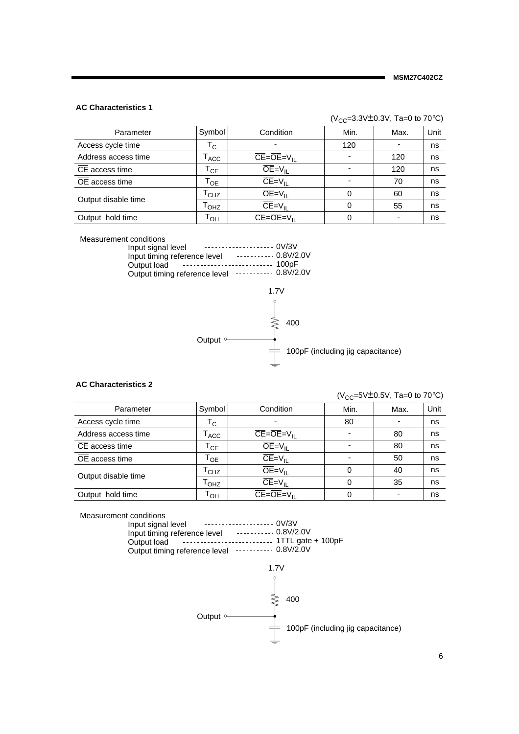#### **AC Characteristics 1**

|                             |                            |                                                               | ( $V_{CC}$ =3.3V $\pm$ 0.3V, Ta=0 to 70°C) |      |      |  |  |
|-----------------------------|----------------------------|---------------------------------------------------------------|--------------------------------------------|------|------|--|--|
| Parameter                   | Symbol                     | Condition                                                     | Min.                                       | Max. | Unit |  |  |
| Access cycle time           | $\mathsf{T}_{\mathsf{C}}$  | -                                                             | 120                                        |      | ns   |  |  |
| Address access time         | <sup>I</sup> ACC           | $\overline{\text{CE}} = \overline{\text{OE}} = V_{\text{II}}$ | ۰                                          | 120  | ns   |  |  |
| CE access time              | $\mathsf{T}_{\mathsf{CE}}$ | $\overline{OE} = V_{\parallel}$                               | ۰                                          | 120  | ns   |  |  |
| $\overline{OE}$ access time | Т <sub>ое</sub>            | $CE=V_{II}$                                                   |                                            | 70   | ns   |  |  |
| Output disable time         | $L_{CHZ}$                  | $OE = VH$                                                     | 0                                          | 60   | ns   |  |  |
|                             | T <sub>OHZ</sub>           | $CE=V_{II}$                                                   | 0                                          | 55   | ns   |  |  |
| Output hold time            | т <sub>он</sub>            | $\overline{\text{CE}} = \overline{\text{OE}} = V_{\text{II}}$ | 0                                          | ٠    | ns   |  |  |

Measurement conditions

| Input signal level            |  |
|-------------------------------|--|
| Input timing reference level  |  |
|                               |  |
| Output timing reference level |  |



#### **AC Characteristics 2**

 $(V_{CC} = 5V \pm 0.5V, Ta = 0$  to 70°C)

| Parameter                   | Symbol                     | Condition                                                     | Min.                     | Max.                     | Unit |
|-----------------------------|----------------------------|---------------------------------------------------------------|--------------------------|--------------------------|------|
| Access cycle time           | $\mathsf{T}_{\mathsf{C}}$  | -                                                             | 80                       |                          | ns   |
| Address access time         | ACC                        | $CE = \overline{OE} = V_{\parallel}$                          | $\overline{\phantom{0}}$ | 80                       | ns   |
| $\overline{CE}$ access time | $\mathsf{T_{CE}}$          | $\overline{OE} = V_{\text{II}}$                               | $\overline{\phantom{0}}$ | 80                       | ns   |
| $\overline{OE}$ access time | $\mathsf{T}_{\mathsf{OE}}$ | $\overline{\mathsf{CE}} = \mathsf{V}_{\mathsf{II}}$           | -                        | 50                       | ns   |
| Output disable time         | <sup>I</sup> CHZ           | $OE = V_{II}$                                                 | 0                        | 40                       | ns   |
|                             | <sup>I</sup> OHZ           | $\overline{\text{CE}} = V_{\text{IL}}$                        | 0                        | 35                       | ns   |
| Output hold time            | Т <sub>он</sub>            | $\overline{\text{CE}} = \overline{\text{OE}} = V_{\text{II}}$ | 0                        | $\overline{\phantom{0}}$ | ns   |

Measurement conditions

0V/3V Input signal level 0.8V/2.0V 1TTL gate + 100pF Output timing reference level **Face 19** 0.8V/2.0V Input timing reference level Output load

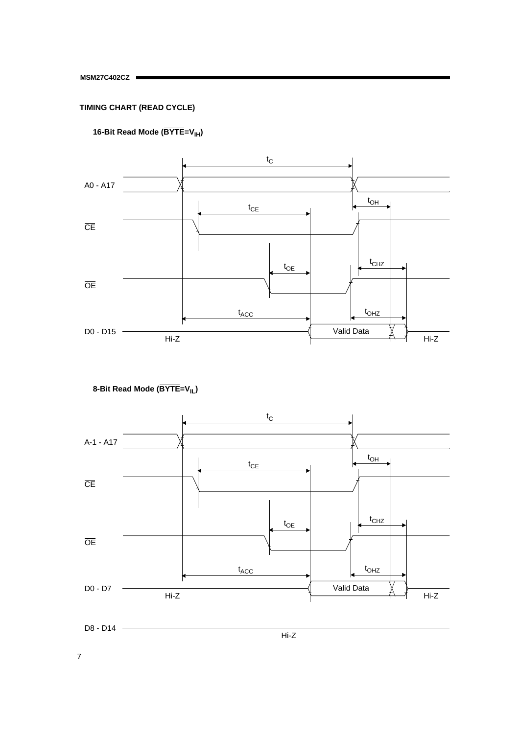# **TIMING CHART (READ CYCLE)**





 **8-Bit Read Mode (BYTE=VIL)**

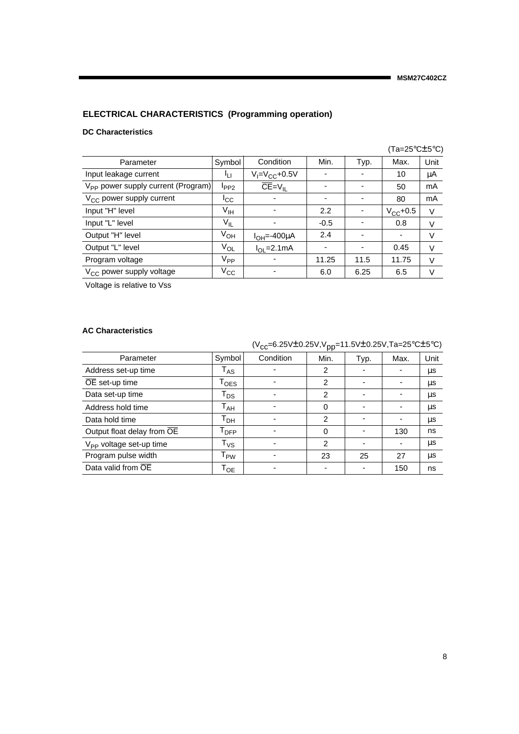# **ELECTRICAL CHARACTERISTICS (Programming operation)**

### **DC Characteristics**

|                                                |                   |                       |                          |      | (Ta=25 $\degree$ C $\pm$ 5 $\degree$ C) |        |
|------------------------------------------------|-------------------|-----------------------|--------------------------|------|-----------------------------------------|--------|
| Parameter                                      | Symbol            | Condition             | Min.                     | Typ. | Max.                                    | Unit   |
| Input leakage current                          | ŀц                | $V_I = V_{CC} + 0.5V$ |                          |      | 10                                      | μA     |
| $V_{\text{PP}}$ power supply current (Program) | $I_{PP2}$         | $CE=V_{IL}$           |                          |      | 50                                      | mA     |
| V <sub>CC</sub> power supply current           | ICC               |                       | $\overline{\phantom{0}}$ |      | 80                                      | mA     |
| Input "H" level                                | $V_{\text{IH}}$   |                       | 2.2                      |      | $V_{CC}$ +0.5                           | V      |
| Input "L" level                                | $V_{IL}$          |                       | $-0.5$                   |      | 0.8                                     | V      |
| Output "H" level                               | $V_{OH}$          | $I_{OH} = -400 \mu A$ | 2.4                      |      |                                         | V      |
| Output "L" level                               | $V_{OL}$          | $I_{\Omega}$ = 2.1 mA | $\overline{\phantom{a}}$ |      | 0.45                                    | $\vee$ |
| Program voltage                                | $V_{\mathsf{PP}}$ |                       | 11.25                    | 11.5 | 11.75                                   | V      |
| $V_{CC}$ power supply voltage                  | $V_{\rm CC}$      |                       | 6.0                      | 6.25 | 6.5                                     | V      |

Voltage is relative to Vss

### **AC Characteristics**

|                                     |                             | (V <sub>CC</sub> =6.25V±0.25V,V <sub>DD</sub> =11.5V±0.25V,Ta=25°C±5°C) |                |                          |      |      |
|-------------------------------------|-----------------------------|-------------------------------------------------------------------------|----------------|--------------------------|------|------|
| Parameter                           | Symbol                      | Condition                                                               | Min.           | Typ.                     | Max. | Unit |
| Address set-up time                 | $\mathsf{T}_{\mathsf{AS}}$  |                                                                         | 2              | -                        |      | μs   |
| OE set-up time                      | $\mathsf{T_{OES}}$          |                                                                         | $\overline{2}$ | $\overline{\phantom{0}}$ |      | μs   |
| Data set-up time                    | $\mathsf{T}_\mathsf{DS}$    |                                                                         | 2              | ۰                        |      | μs   |
| Address hold time                   | $\mathsf{T}_{\mathsf{AH}}$  |                                                                         | $\Omega$       | $\overline{\phantom{0}}$ |      | μs   |
| Data hold time                      | Т <sub>рн</sub>             |                                                                         | 2              | ٠                        |      | μs   |
| Output float delay from OE          | $\mathsf{T}_{\mathsf{DFP}}$ |                                                                         | 0              |                          | 130  | ns   |
| V <sub>PP</sub> voltage set-up time | $\mathsf{T}_{\mathsf{VS}}$  |                                                                         | 2              | $\overline{\phantom{0}}$ |      | μs   |
| Program pulse width                 | $\mathsf{T}_{\mathsf{PW}}$  |                                                                         | 23             | 25                       | 27   | μs   |
| Data valid from OE                  | $\mathsf{T}_{\mathsf{OE}}$  |                                                                         |                |                          | 150  | ns   |

 $(1)$  c 25V $\pm$ 0.25V, V<sub>p</sub> 11.5V $\pm$ 0.25V, T<sub>p</sub> 25°C $\pm$ 5°C)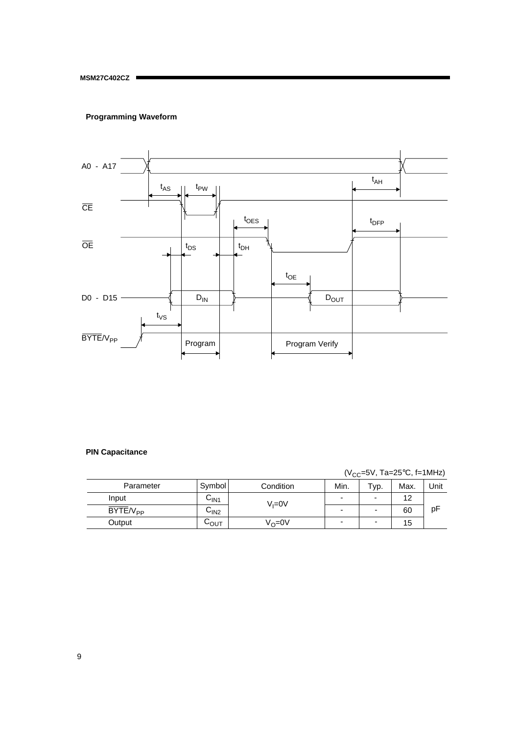# **Programming Waveform**



### **PIN Capacitance**

 $(V_{CC} = 5V, Ta = 25°C, f = 1MHz)$ 

| Parameter     | Symbol | Condition         | Min. | $TVP$ . | Max. | Unit |
|---------------|--------|-------------------|------|---------|------|------|
| Input         | ∪lN1   | $V = 0V$          | -    |         | 12   |      |
| $BYTE/V_{PP}$ | ∪ın2   |                   | -    |         | 60   | рF   |
| Output        | სი∪    | $V_{\Omega} = 0V$ | -    | -       | 15   |      |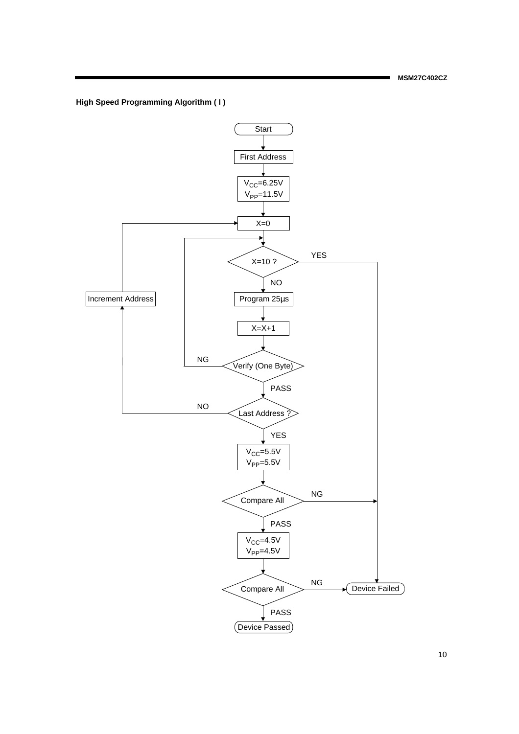**High Speed Programming Algorithm ( I )**

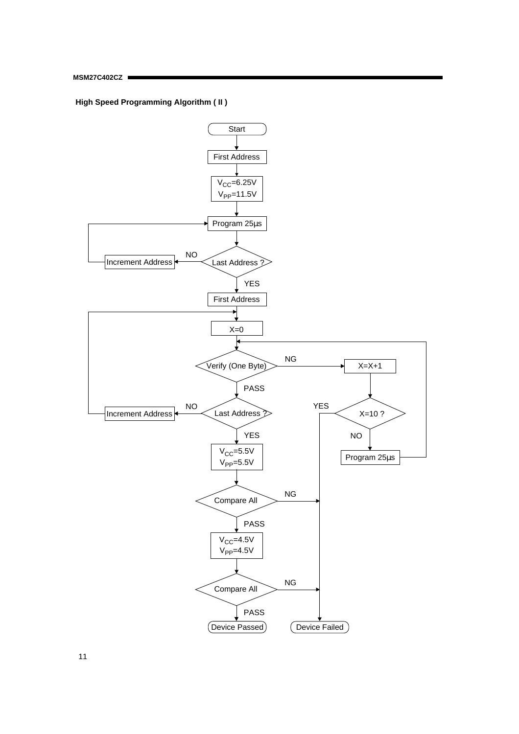**High Speed Programming Algorithm ( II )**



11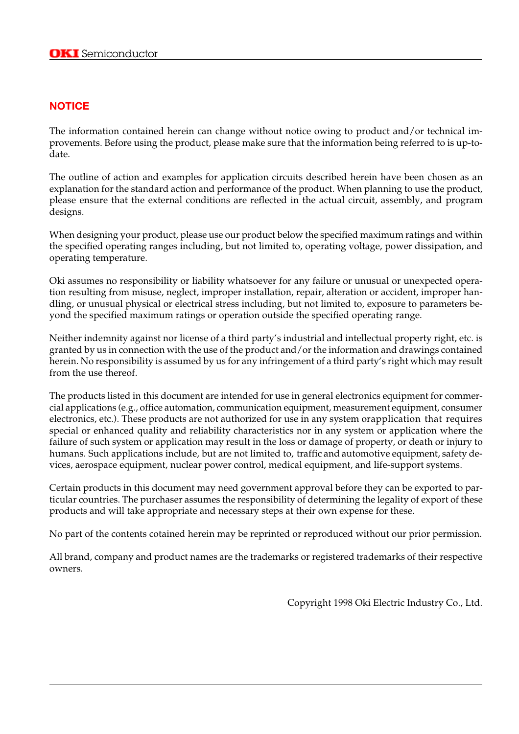# **NOTICE**

The information contained herein can change without notice owing to product and/or technical improvements. Before using the product, please make sure that the information being referred to is up-todate.

The outline of action and examples for application circuits described herein have been chosen as an explanation for the standard action and performance of the product. When planning to use the product, please ensure that the external conditions are reflected in the actual circuit, assembly, and program designs.

When designing your product, please use our product below the specified maximum ratings and within the specified operating ranges including, but not limited to, operating voltage, power dissipation, and operating temperature.

Oki assumes no responsibility or liability whatsoever for any failure or unusual or unexpected operation resulting from misuse, neglect, improper installation, repair, alteration or accident, improper handling, or unusual physical or electrical stress including, but not limited to, exposure to parameters beyond the specified maximum ratings or operation outside the specified operating range.

Neither indemnity against nor license of a third party's industrial and intellectual property right, etc. is granted by us in connection with the use of the product and/or the information and drawings contained herein. No responsibility is assumed by us for any infringement of a third party's right which may result from the use thereof.

The products listed in this document are intended for use in general electronics equipment for commercial applications (e.g., office automation, communication equipment, measurement equipment, consumer electronics, etc.). These products are not authorized for use in any system orapplication that requires special or enhanced quality and reliability characteristics nor in any system or application where the failure of such system or application may result in the loss or damage of property, or death or injury to humans. Such applications include, but are not limited to, traffic and automotive equipment, safety devices, aerospace equipment, nuclear power control, medical equipment, and life-support systems.

Certain products in this document may need government approval before they can be exported to particular countries. The purchaser assumes the responsibility of determining the legality of export of these products and will take appropriate and necessary steps at their own expense for these.

No part of the contents cotained herein may be reprinted or reproduced without our prior permission.

All brand, company and product names are the trademarks or registered trademarks of their respective owners.

Copyright 1998 Oki Electric Industry Co., Ltd.